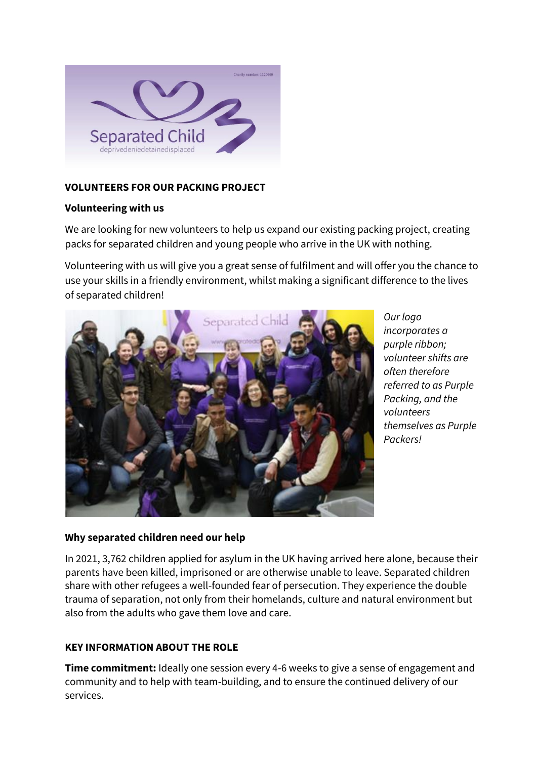

# **VOLUNTEERS FOR OUR PACKING PROJECT**

## **Volunteering with us**

We are looking for new volunteers to help us expand our existing packing project, creating packs for separated children and young people who arrive in the UK with nothing.

Volunteering with us will give you a great sense of fulfilment and will offer you the chance to use your skills in a friendly environment, whilst making a significant difference to the lives of separated children!



*Our logo incorporates a purple ribbon; volunteer shifts are often therefore referred to as Purple Packing, and the volunteers themselves as Purple Packers!*

# **Why separated children need our help**

In 2021, 3,762 children applied for asylum in the UK having arrived here alone, because their parents have been killed, imprisoned or are otherwise unable to leave. Separated children share with other refugees a well-founded fear of persecution. They experience the double trauma of separation, not only from their homelands, culture and natural environment but also from the adults who gave them love and care.

# **KEY INFORMATION ABOUT THE ROLE**

**Time commitment:** Ideally one session every 4-6 weeks to give a sense of engagement and community and to help with team-building, and to ensure the continued delivery of our services.